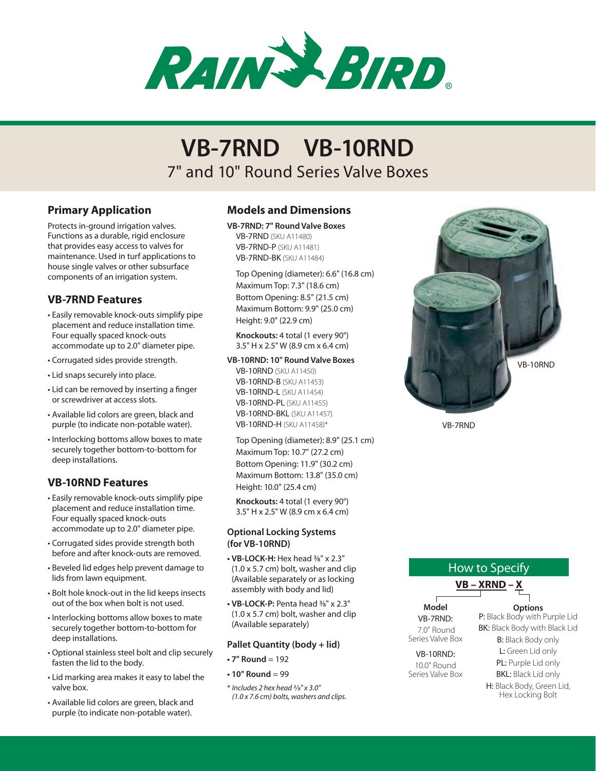

# 7" and 10" Round Series Valve Boxes **VB-7RND VB-10RND**

## **Primary Application**

Protects in-ground irrigation valves. Functions as a durable, rigid enclosure that provides easy access to valves for maintenance. Used in turf applications to house single valves or other subsurface components of an irrigation system.

## **VB-7RND Features**

- • Easily removable knock-outs simplify pipe placement and reduce installation time. Four equally spaced knock-outs accommodate up to 2.0" diameter pipe.
- • Corrugated sides provide strength.
- • Lid snaps securely into place.
- Lid can be removed by inserting a finger or screwdriver at access slots.
- • Available lid colors are green, black and purple (to indicate non-potable water).
- Interlocking bottoms allow boxes to mate securely together bottom-to-bottom for deep installations.

## **VB-10RND Features**

- • Easily removable knock-outs simplify pipe placement and reduce installation time. Four equally spaced knock-outs accommodate up to 2.0" diameter pipe.
- • Corrugated sides provide strength both before and after knock-outs are removed.
- • Beveled lid edges help prevent damage to lids from lawn equipment.
- • Bolt hole knock-out in the lid keeps insects out of the box when bolt is not used.
- Interlocking bottoms allow boxes to mate securely together bottom-to-bottom for deep installations.
- • Optional stainless steel bolt and clip securely fasten the lid to the body.
- • Lid marking area makes it easy to label the valve box.
- • Available lid colors are green, black and purple (to indicate non-potable water).

## **Models and Dimensions**

**VB-7RND: 7" Round Valve Boxes**

VB-7RND (SKU A11480) VB-7RND-P (SKU A11481) VB-7RND-BK (SKU A11484)

Top Opening (diameter): 6.6" (16.8 cm) Maximum Top: 7.3" (18.6 cm) Bottom Opening: 8.5" (21.5 cm) Maximum Bottom: 9.9" (25.0 cm) Height: 9.0" (22.9 cm)

**Knockouts:** 4 total (1 every 90°) 3.5" H x 2.5" W (8.9 cm x 6.4 cm)

#### **VB-10RND: 10" Round Valve Boxes**

VB-10RND (SKU A11450) VB-10RND-B (SKU A11453) VB-10RND-L (SKU A11454) VB-10RND-PL (SKU A11455) VB-10RND-BKL (SKU A11457) VB-10RND-H (SKU A11458)\*

Top Opening (diameter): 8.9" (25.1 cm) Maximum Top: 10.7" (27.2 cm) Bottom Opening: 11.9" (30.2 cm) Maximum Bottom: 13.8" (35.0 cm) Height: 10.0" (25.4 cm)

**Knockouts:** 4 total (1 every 90°) 3.5" H x 2.5" W (8.9 cm x 6.4 cm)

#### **Optional Locking Systems (for VB-10RND)**

- **• VB-LOCK-H:** Hex head 3⁄8" x 2.3" (1.0 x 5.7 cm) bolt, washer and clip (Available separately or as locking assembly with body and lid)
- **• VB-LOCK-P:** Penta head 3⁄8" x 2.3" (1.0 x 5.7 cm) bolt, washer and clip (Available separately)

## **Pallet Quantity (body + lid)**

- **• 7" Round** = 192
- **• 10" Round** = 99

\* *Includes 2 hex head 3/8" x 3.0" (1.0 x 7.6 cm) bolts, washers and clips.*



VB-7RND

# How to Specify **VB – XRND – X**

**Model** VB-7RND: 7.0" Round Series Valve Box

VB-10RND: 10.0" Round Series Valve Box P: Black Body with Purple Lid BK: Black Body with Black Lid B: Black Body only L: Green Lid only PL: Purple Lid only

**Options**

BKL: Black Lid only

H: Black Body, Green Lid, Hex Locking Bolt